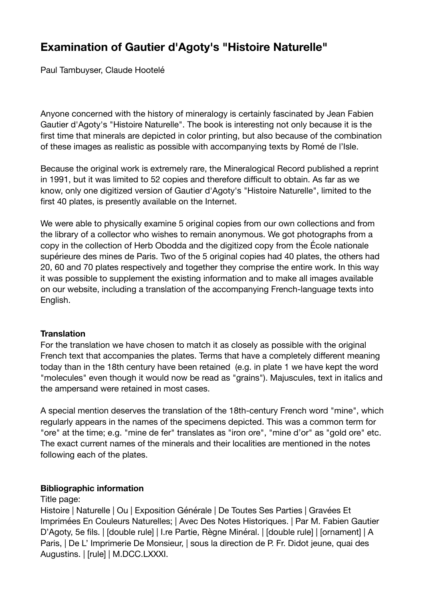# **Examination of Gautier d'Agoty's "Histoire Naturelle"**

Paul Tambuyser, Claude Hootelé

Anyone concerned with the history of mineralogy is certainly fascinated by Jean Fabien Gautier d'Agoty's "Histoire Naturelle". The book is interesting not only because it is the first time that minerals are depicted in color printing, but also because of the combination of these images as realistic as possible with accompanying texts by Romé de l'Isle.

Because the original work is extremely rare, the Mineralogical Record published a reprint in 1991, but it was limited to 52 copies and therefore difficult to obtain. As far as we know, only one digitized version of Gautier d'Agoty's "Histoire Naturelle", limited to the first 40 plates, is presently available on the Internet.

We were able to physically examine 5 original copies from our own collections and from the library of a collector who wishes to remain anonymous. We got photographs from a copy in the collection of Herb Obodda and the digitized copy from the École nationale supérieure des mines de Paris. Two of the 5 original copies had 40 plates, the others had 20, 60 and 70 plates respectively and together they comprise the entire work. In this way it was possible to supplement the existing information and to make all images available on our website, including a translation of the accompanying French-language texts into English.

## **Translation**

For the translation we have chosen to match it as closely as possible with the original French text that accompanies the plates. Terms that have a completely different meaning today than in the 18th century have been retained (e.g. in plate 1 we have kept the word "molecules" even though it would now be read as "grains"). Majuscules, text in italics and the ampersand were retained in most cases.

A special mention deserves the translation of the 18th-century French word "mine", which regularly appears in the names of the specimens depicted. This was a common term for "ore" at the time; e.g. "mine de fer" translates as "iron ore", "mine d'or" as "gold ore" etc. The exact current names of the minerals and their localities are mentioned in the notes following each of the plates.

## **Bibliographic information**

## Title page:

Histoire | Naturelle | Ou | Exposition Générale | De Toutes Ses Parties | Gravées Et Imprimées En Couleurs Naturelles; | Avec Des Notes Historiques. | Par M. Fabien Gautier D'Agoty, 5e fils. | [double rule] | I.re Partie, Règne Minéral. | [double rule] | [ornament] | A Paris, | De L' Imprimerie De Monsieur, | sous la direction de P. Fr. Didot jeune, quai des Augustins. | [rule] | M.DCC.LXXXI.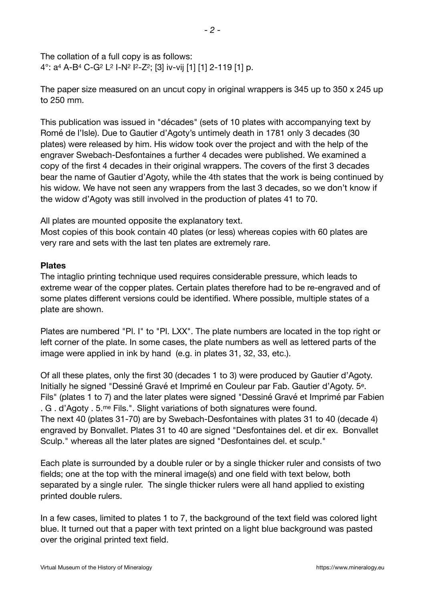The collation of a full copy is as follows: 4°: a4 A-B4 C-G2 L2 I-N2 I2-Z2; [3] iv-vij [1] [1] 2-119 [1] p.

The paper size measured on an uncut copy in original wrappers is 345 up to 350 x 245 up to 250 mm.

This publication was issued in "décades" (sets of 10 plates with accompanying text by Romé de l'Isle). Due to Gautier d'Agoty's untimely death in 1781 only 3 decades (30 plates) were released by him. His widow took over the project and with the help of the engraver Swebach-Desfontaines a further 4 decades were published. We examined a copy of the first 4 decades in their original wrappers. The covers of the first 3 decades bear the name of Gautier d'Agoty, while the 4th states that the work is being continued by his widow. We have not seen any wrappers from the last 3 decades, so we don't know if the widow d'Agoty was still involved in the production of plates 41 to 70.

All plates are mounted opposite the explanatory text.

Most copies of this book contain 40 plates (or less) whereas copies with 60 plates are very rare and sets with the last ten plates are extremely rare.

#### **Plates**

The intaglio printing technique used requires considerable pressure, which leads to extreme wear of the copper plates. Certain plates therefore had to be re-engraved and of some plates different versions could be identified. Where possible, multiple states of a plate are shown.

Plates are numbered "Pl. I" to "Pl. LXX". The plate numbers are located in the top right or left corner of the plate. In some cases, the plate numbers as well as lettered parts of the image were applied in ink by hand (e.g. in plates 31, 32, 33, etc.).

Of all these plates, only the first 30 (decades 1 to 3) were produced by Gautier d'Agoty. Initially he signed "Dessiné Gravé et Imprimé en Couleur par Fab. Gautier d'Agoty. 5e. Fils" (plates 1 to 7) and the later plates were signed "Dessiné Gravé et Imprimé par Fabien . G . d'Agoty . 5.me Fils.". Slight variations of both signatures were found. The next 40 (plates 31-70) are by Swebach-Desfontaines with plates 31 to 40 (decade 4) engraved by Bonvallet. Plates 31 to 40 are signed "Desfontaines del. et dir ex. Bonvallet Sculp." whereas all the later plates are signed "Desfontaines del. et sculp."

Each plate is surrounded by a double ruler or by a single thicker ruler and consists of two fields; one at the top with the mineral image(s) and one field with text below, both separated by a single ruler. The single thicker rulers were all hand applied to existing printed double rulers.

In a few cases, limited to plates 1 to 7, the background of the text field was colored light blue. It turned out that a paper with text printed on a light blue background was pasted over the original printed text field.